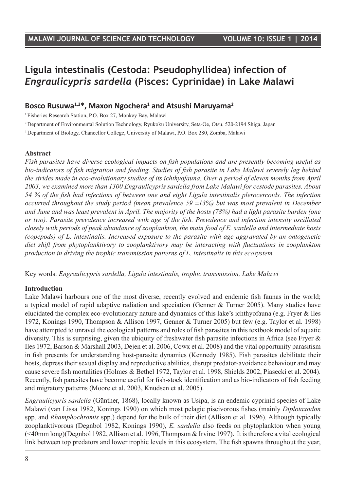# **Ligula intestinalis (Cestoda: Pseudophyllidea) infection of**  *Engraulicypris sardella* **(Pisces: Cyprinidae) in Lake Malawi**

## **Bosco Rusuwa1,3\*, Maxon Ngochera1 and Atsushi Maruyama2**

1 Fisheries Research Station, P.O. Box 27, Monkey Bay, Malawi

2 Department of Environmental Solution Technology, Ryukoku University, Seta-Oe, Otsu, 520-2194 Shiga, Japan

3 Department of Biology, Chancellor College, University of Malawi, P.O. Box 280, Zomba, Malawi

#### **Abstract**

*Fish parasites have diverse ecological impacts on fish populations and are presently becoming useful as bio-indicators of fish migration and feeding. Studies of fish parasite in Lake Malawi severely lag behind the strides made in eco-evolutionary studies of its ichthyofauna. Over a period of eleven months from April 2003, we examined more than 1300 Engraulicypris sardella from Lake Malawi for cestode parasites. About 54 % of the fish had infections of between one and eight Ligula intestinalis plerocercoids. The infection occurred throughout the study period (mean prevalence 59 ±13%) but was most prevalent in December and June and was least prevalent in April. The majority of the hosts (78%) had a light parasite burden (one or two). Parasite prevalence increased with age of the fish. Prevalence and infection intensity oscillated closely with periods of peak abundance of zooplankton, the main food of E. sardella and intermediate hosts (copepods) of L. intestinalis. Increased exposure to the parasite with age aggravated by an ontogenetic diet shift from phytoplanktivory to zooplanktivory may be interacting with fluctuations in zooplankton production in driving the trophic transmission patterns of L. intestinalis in this ecosystem.*

Key words: *Engraulicypris sardella, Ligula intestinalis, trophic transmission, Lake Malawi*

#### **Introduction**

Lake Malawi harbours one of the most diverse, recently evolved and endemic fish faunas in the world; a typical model of rapid adaptive radiation and speciation (Genner & Turner 2005). Many studies have elucidated the complex eco-evolutionary nature and dynamics of this lake's ichthyofauna (e.g. Fryer & Iles 1972, Konings 1990, Thompson & Allison 1997, Genner & Turner 2005) but few (e.g. Taylor et al. 1998) have attempted to unravel the ecological patterns and roles of fish parasites in this textbook model of aquatic diversity. This is surprising, given the ubiquity of freshwater fish parasite infections in Africa (see Fryer & Iles 1972, Barson & Marshall 2003, Dejen et al. 2006, Cowx et al. 2008) and the vital opportunity parasitism in fish presents for understanding host-parasite dynamics (Kennedy 1985). Fish parasites debilitate their hosts, depress their sexual display and reproductive abilities, disrupt predator-avoidance behaviour and may cause severe fish mortalities (Holmes & Bethel 1972, Taylor et al. 1998, Shields 2002, Piasecki et al. 2004). Recently, fish parasites have become useful for fish-stock identification and as bio-indicators of fish feeding and migratory patterns (Moore et al. 2003, Knudsen et al. 2005).

*Engraulicypris sardella* (Günther, 1868), locally known as Usipa, is an endemic cyprinid species of Lake Malawi (van Lissa 1982, Konings 1990) on which most pelagic piscivorous fishes (mainly *Diplotaxodon*  spp. and *Rhamphochromis* spp.) depend for the bulk of their diet (Allison et al. 1996). Although typically zooplanktivorous (Degnbol 1982, Konings 1990), *E. sardella* also feeds on phytoplankton when young (<40mm long)(Degnbol 1982, Allison et al. 1996, Thompson & Irvine 1997). It is therefore a vital ecological link between top predators and lower trophic levels in this ecosystem. The fish spawns throughout the year,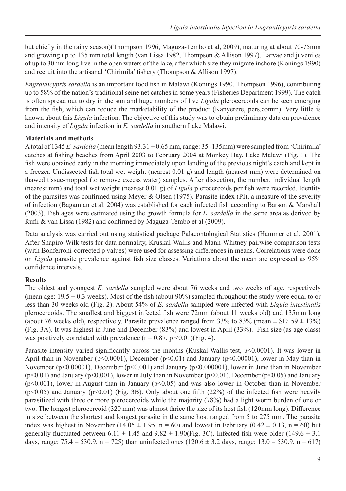but chiefly in the rainy season)(Thompson 1996, Maguza-Tembo et al, 2009), maturing at about 70-75mm and growing up to 135 mm total length (van Lissa 1982, Thompson & Allison 1997). Larvae and juveniles of up to 30mm long live in the open waters of the lake, after which size they migrate inshore (Konings 1990) and recruit into the artisanal 'Chirimila' fishery (Thompson & Allison 1997).

*Engraulicypris sardella* is an important food fish in Malawi (Konings 1990, Thompson 1996), contributing up to 58% of the nation's traditional seine net catches in some years (Fisheries Department 1999). The catch is often spread out to dry in the sun and huge numbers of live *Ligula* plerocercoids can be seen emerging from the fish, which can reduce the marketability of the product (Kanyerere, pers.comm). Very little is known about this *Ligula* infection. The objective of this study was to obtain preliminary data on prevalence and intensity of *Ligula* infection in *E. sardella* in southern Lake Malawi.

#### **Materials and methods**

A total of 1345 *E. sardella* (mean length 93.31 ± 0.65 mm, range: 35 -135mm) were sampled from 'Chirimila' catches at fishing beaches from April 2003 to February 2004 at Monkey Bay, Lake Malawi (Fig. 1). The fish were obtained early in the morning immediately upon landing of the previous night's catch and kept in a freezer. Undissected fish total wet weight (nearest 0.01 g) and length (nearest mm) were determined on thawed tissue-mopped (to remove excess water) samples. After dissection, the number, individual length (nearest mm) and total wet weight (nearest 0.01 g) of *Ligula* plerocercoids per fish were recorded. Identity of the parasites was confirmed using Meyer & Olsen (1975). Parasite index (PI), a measure of the severity of infection (Bagamian et al. 2004) was established for each infected fish according to Barson & Marshall (2003). Fish ages were estimated using the growth formula for *E. sardella* in the same area as derived by Rufli & van Lissa (1982) and confirmed by Maguza-Tembo et al (2009).

Data analysis was carried out using statistical package Palaeontological Statistics (Hammer et al. 2001). After Shapiro-Wilk tests for data normality, Kruskal-Wallis and Mann-Whitney pairwise comparison tests (with Bonferroni-corrected p values) were used for assessing differences in means. Correlations were done on *Ligula* parasite prevalence against fish size classes. Variations about the mean are expressed as 95% confidence intervals.

### **Results**

The oldest and youngest *E. sardella* sampled were about 76 weeks and two weeks of age, respectively (mean age:  $19.5 \pm 0.3$  weeks). Most of the fish (about 90%) sampled throughout the study were equal to or less than 30 weeks old (Fig. 2). About 54% of *E. sardella* sampled were infected with *Ligula intestinalis*  plerocercoids. The smallest and biggest infected fish were 72mm (about 11 weeks old) and 135mm long (about 76 weeks old), respectively. Parasite prevalence ranged from 33% to 83% (mean  $\pm$  SE: 59  $\pm$  13%) (Fig. 3A). It was highest in June and December (83%) and lowest in April (33%). Fish size (as age class) was positively correlated with prevalence  $(r = 0.87, p \le 0.01)$  (Fig. 4).

Parasite intensity varied significantly across the months (Kuskal-Wallis test,  $p<0.0001$ ). It was lower in April than in November (p<0.0001), December (p<0.01) and January (p<0.00001), lower in May than in November (p<0.00001), December (p<0.001) and January (p<0.000001), lower in June than in November (p<0.01) and January (p<0.001), lower in July than in November (p<0.01), December (p<0.05) and January  $(p<0.001)$ , lower in August than in January  $(p<0.05)$  and was also lower in October than in November  $(p<0.05)$  and January  $(p<0.01)$  (Fig. 3B). Only about one fifth (22%) of the infected fish were heavily parasitized with three or more plerocercoids while the majority (78%) had a light worm burden of one or two. The longest plerocercoid (320 mm) was almost thrice the size of its host fish (120mm long). Difference in size between the shortest and longest parasite in the same host ranged from 5 to 275 mm. The parasite index was highest in November (14.05  $\pm$  1.95, n = 60) and lowest in February (0.42  $\pm$  0.13, n = 60) but generally fluctuated between  $6.11 \pm 1.45$  and  $9.82 \pm 1.90$  (Fig. 3C). Infected fish were older (149.6  $\pm$  3.1) days, range:  $75.4 - 530.9$ , n =  $725$ ) than uninfected ones  $(120.6 \pm 3.2$  days, range:  $13.0 - 530.9$ , n = 617)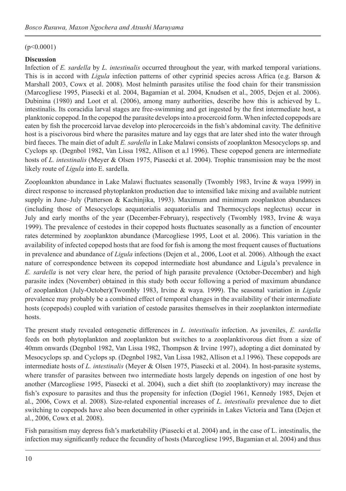#### $(p<0.0001)$

#### **Discussion**

Infection of *E. sardella* by *L. intestinalis* occurred throughout the year, with marked temporal variations. This is in accord with *Ligula* infection patterns of other cyprinid species across Africa (e.g. Barson & Marshall 2003, Cowx et al. 2008). Most helminth parasites utilise the food chain for their transmission (Marcogliese 1995, Piasecki et al. 2004, Bagamian et al. 2004, Knudsen et al., 2005, Dejen et al. 2006). Dubinina (1980) and Loot et al. (2006), among many authorities, describe how this is achieved by L. intestinalis. Its coracidia larval stages are free-swimming and get ingested by the first intermediate host, a planktonic copepod. In the copepod the parasite develops into a procercoid form. When infected copepods are eaten by fish the procercoid larvae develop into plerocercoids in the fish's abdominal cavity. The definitive host is a piscivorous bird where the parasites mature and lay eggs that are later shed into the water through bird faeces. The main diet of adult *E. sardella* in Lake Malawi consists of zooplankton Mesocyclops sp. and Cyclops sp. (Degnbol 1982, Van Lissa 1982, Allison et a.l 1996). These copepod genera are intermediate hosts of *L. intestinalis* (Meyer & Olsen 1975, Piasecki et al. 2004). Trophic transmission may be the most likely route of *Ligula* into E. sardella.

Zooploankton abundance in Lake Malawi fluctuates seasonally (Twombly 1983, Irvine & waya 1999) in direct response to increased phytoplankton production due to intensified lake mixing and available nutrient supply in June–July (Patterson & Kachinjika, 1993). Maximum and minimum zooplankton abundances (including those of Mesocyclops aequatorialis aequatorialis and Thermocyclops neglectus) occur in July and early months of the year (December-February), respectively (Twombly 1983, Irvine & waya 1999). The prevalence of cestodes in their copepod hosts fluctuates seasonally as a function of encounter rates determined by zooplankton abundance (Marcogliese 1995, Loot et al. 2006). This variation in the availability of infected copepod hosts that are food for fish is among the most frequent causes of fluctuations in prevalence and abundance of *Ligula* infections (Dejen et al., 2006, Loot et al. 2006). Although the exact nature of correspondence between its copepod intermediate host abundance and Ligula's prevalence in *E. sardella* is not very clear here, the period of high parasite prevalence (October-December) and high parasite index (November) obtained in this study both occur following a period of maximum abundance of zooplankton (July-October)(Twombly 1983, Irvine & waya. 1999). The seasonal variation in *Ligula*  prevalence may probably be a combined effect of temporal changes in the availability of their intermediate hosts (copepods) coupled with variation of cestode parasites themselves in their zooplankton intermediate hosts.

The present study revealed ontogenetic differences in *L. intestinalis* infection. As juveniles, *E. sardella*  feeds on both phytoplankton and zooplankton but switches to a zooplanktivorous diet from a size of 40mm onwards (Degnbol 1982, Van Lissa 1982, Thompson & Irvine 1997), adopting a diet dominated by Mesocyclops sp. and Cyclops sp. (Degnbol 1982, Van Lissa 1982, Allison et a.l 1996). These copepods are intermediate hosts of *L. intestinalis* (Meyer & Olsen 1975, Piasecki et al. 2004). In host-parasite systems, where transfer of parasites between two intermediate hosts largely depends on ingestion of one host by another (Marcogliese 1995, Piasecki et al. 2004), such a diet shift (to zooplanktivory) may increase the fish's exposure to parasites and thus the propensity for infection (Dogiel 1961, Kennedy 1985, Dejen et al., 2006, Cowx et al. 2008). Size-related exponential increases of *L. intestinalis* prevalence due to diet switching to copepods have also been documented in other cyprinids in Lakes Victoria and Tana (Dejen et al., 2006, Cowx et al. 2008).

Fish parasitism may depress fish's marketability (Piasecki et al. 2004) and, in the case of L. intestinalis, the infection may significantly reduce the fecundity of hosts (Marcogliese 1995, Bagamian et al. 2004) and thus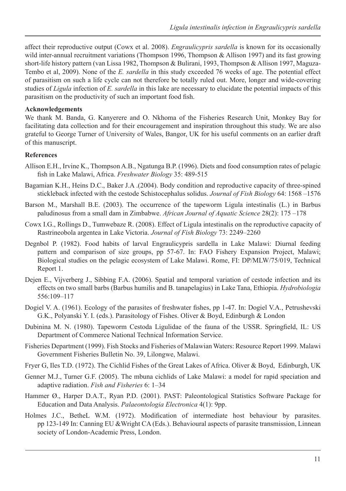affect their reproductive output (Cowx et al. 2008). *Engraulicypris sardella* is known for its occasionally wild inter-annual recruitment variations (Thompson 1996, Thompson & Allison 1997) and its fast growing short-life history pattern (van Lissa 1982, Thompson & Bulirani, 1993, Thompson & Allison 1997, Maguza-Tembo et al, 2009). None of the *E. sardella* in this study exceeded 76 weeks of age. The potential effect of parasitism on such a life cycle can not therefore be totally ruled out. More, longer and wide-covering studies of *Ligula* infection of *E. sardella* in this lake are necessary to elucidate the potential impacts of this parasitism on the productivity of such an important food fish.

#### **Acknowledgements**

We thank M. Banda, G. Kanyerere and O. Nkhoma of the Fisheries Research Unit, Monkey Bay for facilitating data collection and for their encouragement and inspiration throughout this study. We are also grateful to George Turner of University of Wales, Bangor, UK for his useful comments on an earlier draft of this manuscript.

#### **References**

- Allison E.H., Irvine K., Thompson A.B., Ngatunga B.P. (1996). Diets and food consumption rates of pelagic fish in Lake Malawi, Africa. *Freshwater Biology* 35: 489-515
- Bagamian K.H., Heins D.C., Baker J.A .(2004). Body condition and reproductive capacity of three-spined stickleback infected with the cestode Schistocephalus solidus. *Journal of Fish Biology* 64: 1568 –1576
- Barson M., Marshall B.E. (2003). The occurrence of the tapeworm Ligula intestinalis (L.) in Barbus paludinosus from a small dam in Zimbabwe. *African Journal of Aquatic Science* 28(2): 175 –178
- Cowx I.G., Rollings D., Tumwebaze R. (2008). Effect of Ligula intestinalis on the reproductive capacity of Rastrineobola argentea in Lake Victoria. *Journal of Fish Biology* 73: 2249–2260
- Degnbol P. (1982). Food habits of larval Engraulicypris sardella in Lake Malawi: Diurnal feeding pattern and comparison of size groups, pp 57-67. In: FAO Fishery Expansion Project, Malawi; Biological studies on the pelagic ecosystem of Lake Malawi. Rome, FI: DP/MLW/75/019, Technical Report 1.
- Dejen E., Vijverberg J., Sibbing F.A. (2006). Spatial and temporal variation of cestode infection and its effects on two small barbs (Barbus humilis and B. tanapelagius) in Lake Tana, Ethiopia. *Hydrobiologia*  556:109–117
- Dogiel V. A. (1961). Ecology of the parasites of freshwater fishes, pp 1-47. In: Dogiel V.A., Petrushevski G.K., Polyanski Y. I. (eds.). Parasitology of Fishes. Oliver & Boyd, Edinburgh & London
- Dubinina M. N. (1980). Tapeworm Cestoda Ligulidae of the fauna of the USSR. Springfield, IL: US Department of Commerce National Technical Information Service.
- Fisheries Department (1999). Fish Stocks and Fisheries of Malawian Waters: Resource Report 1999. Malawi Government Fisheries Bulletin No. 39, Lilongwe, Malawi.
- Fryer G, Iles T.D. (1972). The Cichlid Fishes of the Great Lakes of Africa. Oliver & Boyd, Edinburgh, UK
- Genner M.J., Turner G.F. (2005). The mbuna cichlids of Lake Malawi: a model for rapid speciation and adaptive radiation. *Fish and Fisheries* 6: 1–34
- Hammer Ø., Harper D.A.T., Ryan P.D. (2001). PAST: Paleontological Statistics Software Package for Education and Data Analysis. *Palaeontologia Electronica* 4(1): 9pp.
- Holmes J.C., BetheL W.M. (1972). Modification of intermediate host behaviour by parasites. pp 123-149 In: Canning EU &Wright CA (Eds.). Behavioural aspects of parasite transmission, Linnean society of London-Academic Press, London.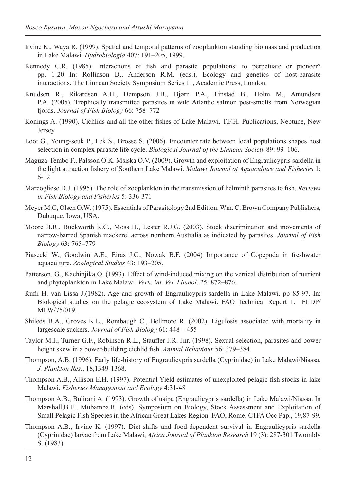- Irvine K., Waya R. (1999). Spatial and temporal patterns of zooplankton standing biomass and production in Lake Malawi. *Hydrobiologia* 407: 191–205, 1999.
- Kennedy C.R. (1985). Interactions of fish and parasite populations: to perpetuate or pioneer? pp. 1-20 In: Rollinson D., Anderson R.M. (eds.). Ecology and genetics of host-parasite interactions. The Linnean Society Symposium Series 11, Academic Press, London.
- Knudsen R., Rikardsen A.H., Dempson J.B., Bjørn P.A., Finstad B., Holm M., Amundsen P.A. (2005). Trophically transmitted parasites in wild Atlantic salmon post-smolts from Norwegian fjords. *Journal of Fish Biology* 66: 758–772
- Konings A. (1990). Cichlids and all the other fishes of Lake Malawi. T.F.H. Publications, Neptune, New Jersey
- Loot G., Young-seuk P., Lek S., Brosse S. (2006). Encounter rate between local populations shapes host selection in complex parasite life cycle. *Biological Journal of the Linnean Society* 89: 99–106.
- Maguza-Tembo F., Palsson O.K. Msiska O.V. (2009). Growth and exploitation of Engraulicypris sardella in the light attraction fishery of Southern Lake Malawi. *Malawi Journal of Aquaculture and Fisheries* 1: 6-12
- Marcogliese D.J. (1995). The role of zooplankton in the transmission of helminth parasites to fish. *Reviews in Fish Biology and Fisheries* 5: 336-371
- Meyer M.C, Olsen O.W. (1975). Essentials of Parasitology 2nd Edition. Wm. C. Brown Company Publishers, Dubuque, Iowa, USA.
- Moore B.R., Buckworth R.C., Moss H., Lester R.J.G. (2003). Stock discrimination and movements of narrow-barred Spanish mackerel across northern Australia as indicated by parasites. *Journal of Fish Biology* 63: 765–779
- Piasecki W., Goodwin A.E., Eiras J.C., Nowak B.F. (2004) Importance of Copepoda in freshwater aquaculture. *Zoological Studies* 43: 193–205.
- Patterson, G., Kachinjika O. (1993). Effect of wind-induced mixing on the vertical distribution of nutrient and phytoplankton in Lake Malawi. *Verh. int. Ver. Limnol*. 25: 872–876.
- Rufli H. van Lissa J.(1982). Age and growth of Engraulicypris sardella in Lake Malawi. pp 85-97. In: Biological studies on the pelagic ecosystem of Lake Malawi. FAO Technical Report 1. FI:DP/ MLW/75/019.
- Shileds B.A., Groves K.L., Rombaugh C., Bellmore R. (2002). Ligulosis associated with mortality in largescale suckers. *Journal of Fish Biology* 61: 448 – 455
- Taylor M.I., Turner G.F., Robinson R.L., Stauffer J.R. Jnr. (1998). Sexual selection, parasites and bower height skew in a bower-building cichlid fish. *Animal Behaviour* 56: 379–384
- Thompson, A.B. (1996). Early life-history of Engraulicypris sardella (Cyprinidae) in Lake Malawi/Niassa. *J. Plankton Res*., 18,1349-1368.
- Thompson A.B., Allison E.H. (1997). Potential Yield estimates of unexploited pelagic fish stocks in lake Malawi. *Fisheries Management and Ecology* 4:31-48
- Thompson A.B., Bulirani A. (1993). Growth of usipa (Engraulicypris sardella) in Lake Malawi/Niassa. In Marshall,B.E., Mubamba,R. (eds), Symposium on Biology, Stock Assessment and Exploitation of Small Pelagic Fish Species in the African Great Lakes Region. FAO, Rome. C1FA Occ Pap., 19,87-99.
- Thompson A.B., Irvine K. (1997). Diet-shifts and food-dependent survival in Engraulicypris sardella (Cyprinidae) larvae from Lake Malawi, *Africa Journal of Plankton Research* 19 (3): 287-301 Twombly S. (1983).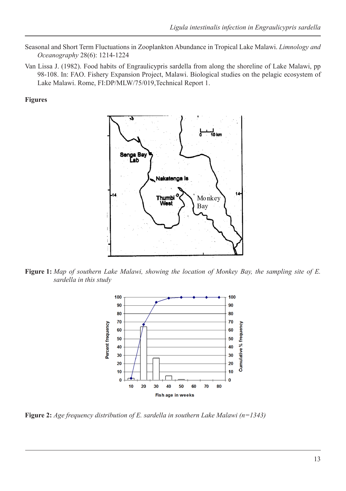- Seasonal and Short Term Fluctuations in Zooplankton Abundance in Tropical Lake Malawi. *Limnology and Oceanography* 28(6): 1214-1224
- Van Lissa J. (1982). Food habits of Engraulicypris sardella from along the shoreline of Lake Malawi, pp 98-108. In: FAO. Fishery Expansion Project, Malawi. Biological studies on the pelagic ecosystem of Lake Malawi. Rome, FI:DP/MLW/75/019,Technical Report 1.

#### **Figures**



**Figure 1:** *Map of southern Lake Malawi, showing the location of Monkey Bay, the sampling site of E. sardella in this study*



**Figure 2:** *Age frequency distribution of E. sardella in southern Lake Malawi (n=1343)*